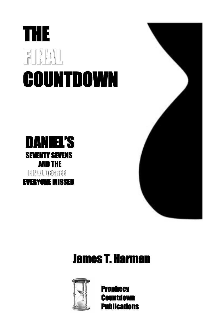## THE FINAL COUNTDOWN





## James T. Harman



Prophecy Countdown **Publications**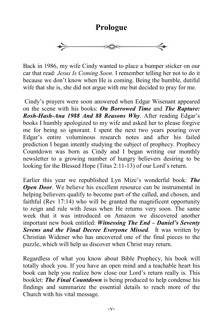**Prologue**



Back in 1986, my wife Cindy wanted to place a bumper sticker on our car that read: *Jesus Is Coming Soon*. I remember telling her not to do it because we don't know when He is coming. Being the humble, dutiful wife that she is, she did not argue with me but decided to pray for me.

Cindy's prayers were soon answered when Edgar Wisenant appeared on the scene with his books: *On Borrowed Time* and *The Rapture: Rosh-Hash-Ana 1988 And 88 Reasons Why*. After reading Edgar's books I humbly apologized to my wife and asked her to please forgive me for being so ignorant. I spent the next two years pouring over Edgar's entire voluminous research notes and after his failed prediction I began intently studying the subject of prophecy. Prophecy Countdown was born as Cindy and I began writing our monthly newsletter to a growing number of hungry believers desiring to be looking for the Blessed Hope (Titus 2:11-13) of our Lord's return.

Earlier this year we republished Lyn Mize's wonderful book: *The Open Door.* We believe his excellent resource can be instrumental in helping believers qualify to become part of the called, and chosen, and faithful (Rev 17:14) who will be granted the magnificent opportunity to reign and rule with Jesus when He returns very soon. The same week that it was introduced on Amazon we discovered another important new book entitled: *Witnessing The End – Daniel's Seventy Sevens and the Final Decree Everyone Missed*. It was written by Christian Widener who has uncovered one of the final pieces to the puzzle, which will help us discover when Christ may return.

Regardless of what you know about Bible Prophecy, his book will totally shock you. If you have an open mind and a teachable heart his book can help you realize how close our Lord's return really is. This booklet: *The Final Countdown* is being produced to help condense his findings and summarize the essential details to reach more of the Church with his vital message.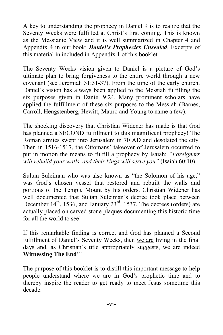A key to understanding the prophecy in Daniel 9 is to realize that the Seventy Weeks were fulfilled at Christ's first coming. This is known as the Messianic View and it is well summarized in Chapter 4 and Appendix 4 in our book: *Daniel's Prophecies Unsealed*. Excerpts of this material in included in Appendix 1 of this booklet.

The Seventy Weeks vision given to Daniel is a picture of God's ultimate plan to bring forgiveness to the entire world through a new covenant (see Jeremiah 31:31-37). From the time of the early church, Daniel's vision has always been applied to the Messiah fulfilling the six purposes given in Daniel 9:24. Many prominent scholars have applied the fulfillment of these six purposes to the Messiah (Barnes, Carroll, Hengstenberg, Hewitt, Mauro and Young to name a few).

The shocking discovery that Christian Widener has made is that God has planned a SECOND fulfillment to this magnificent prophecy! The Roman armies swept into Jerusalem in 70 AD and desolated the city. Then in 1516-1517, the Ottomans' takeover of Jerusalem occurred to put in motion the means to fulfill a prophecy by Isaiah: *"Foreigners will rebuild your walls, and their kings will serve you"* (Isaiah 60:10).

Sultan Suleiman who was also known as "the Solomon of his age," was God's chosen vessel that restored and rebuilt the walls and portions of the Temple Mount by his orders. Christian Widener has well documented that Sultan Suleiman's decree took place between December  $14<sup>th</sup>$ , 1536, and January  $23<sup>rd</sup>$ , 1537. The decrees (orders) are actually placed on carved stone plaques documenting this historic time for all the world to see!

If this remarkable finding is correct and God has planned a Second fulfillment of Daniel's Seventy Weeks, then we are living in the final days and, as Christian's title appropriately suggests, we are indeed **Witnessing The End**!!!

The purpose of this booklet is to distill this important message to help people understand where we are in God's prophetic time and to thereby inspire the reader to get ready to meet Jesus sometime this decade.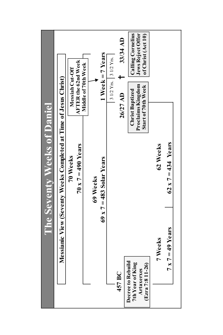